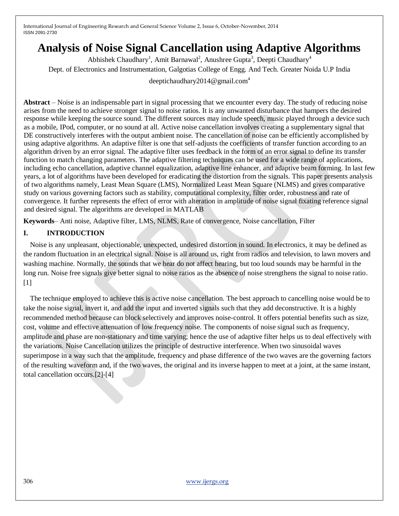# **Analysis of Noise Signal Cancellation using Adaptive Algorithms**

Abhishek Chaudhary<sup>1</sup>, Amit Barnawal<sup>2</sup>, Anushree Gupta<sup>3</sup>, Deepti Chaudhary<sup>4</sup> Dept. of Electronics and Instrumentation, Galgotias College of Engg. And Tech. Greater Noida U.P India

deeptichaudhary2014@gmail.com<sup>4</sup>

**Abstract** – Noise is an indispensable part in signal processing that we encounter every day. The study of reducing noise arises from the need to achieve stronger signal to noise ratios. It is any unwanted disturbance that hampers the desired response while keeping the source sound. The different sources may include speech, music played through a device such as a mobile, IPod, computer, or no sound at all. Active noise cancellation involves creating a supplementary signal that DE constructively interferes with the output ambient noise. The cancellation of noise can be efficiently accomplished by using adaptive algorithms. An adaptive filter is one that self-adjusts the coefficients of transfer function according to an algorithm driven by an error signal. The adaptive filter uses feedback in the form of an error signal to define its transfer function to match changing parameters. The adaptive filtering techniques can be used for a wide range of applications, including echo cancellation, adaptive channel equalization, adaptive line enhancer, and adaptive beam forming. In last few years, a lot of algorithms have been developed for eradicating the distortion from the signals. This paper presents analysis of two algorithms namely, Least Mean Square (LMS), Normalized Least Mean Square (NLMS) and gives comparative study on various governing factors such as stability, computational complexity, filter order, robustness and rate of convergence. It further represents the effect of error with alteration in amplitude of noise signal fixating reference signal and desired signal. The algorithms are developed in MATLAB

**Keywords**– Anti noise, Adaptive filter, LMS, NLMS, Rate of convergence, Noise cancellation, Filter

# **I. INTRODUCTION**

Noise is any unpleasant, objectionable, unexpected, undesired distortion in sound. In electronics, it may be defined as the random fluctuation in an electrical signal. Noise is all around us, right from radios and television, to lawn movers and washing machine. Normally, the sounds that we hear do not affect hearing, but too loud sounds may be harmful in the long run. Noise free signals give better signal to noise ratios as the absence of noise strengthens the signal to noise ratio.  $[1]$ 

The technique employed to achieve this is active noise cancellation. The best approach to cancelling noise would be to take the noise signal, invert it, and add the input and inverted signals such that they add deconstructive. It is a highly recommended method because can block selectively and improves noise-control. It offers potential benefits such as size, cost, volume and effective attenuation of low frequency noise. The components of noise signal such as frequency, amplitude and phase are non-stationary and time varying; hence the use of adaptive filter helps us to deal effectively with the variations. Noise Cancellation utilizes the principle of destructive interference. When two sinusoidal waves superimpose in a way such that the amplitude, frequency and phase difference of the two waves are the governing factors of the resulting waveform and, if the two waves, the original and its inverse happen to meet at a joint, at the same instant, total cancellation occurs.[2]-[4]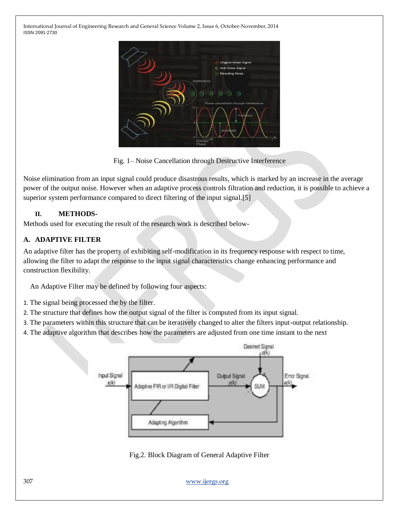

Fig. 1– Noise Cancellation through Destructive Interference

Noise elimination from an input signal could produce disastrous results, which is marked by an increase in the average power of the output noise. However when an adaptive process controls filtration and reduction, it is possible to achieve a superior system performance compared to direct filtering of the input signal.[5]

# **II. METHODS-**

Methods used for executing the result of the research work is described below-

# **A. ADAPTIVE FILTER**

An adaptive filter has the property of exhibiting self-modification in its frequency response with respect to time, allowing the filter to adapt the response to the input signal characteristics change enhancing performance and construction flexibility.

An Adaptive Filter may be defined by following four aspects:

- 1. The signal being processed the by the filter.
- 2. The structure that defines how the output signal of the filter is computed from its input signal.
- 3. The parameters within this structure that can be iteratively changed to alter the filters input-output relationship.
- 4. The adaptive algorithm that describes how the parameters are adjusted from one time instant to the next



Fig.2. Block Diagram of General Adaptive Filter

307 [www.ijergs.org](http://www.ijergs.org/)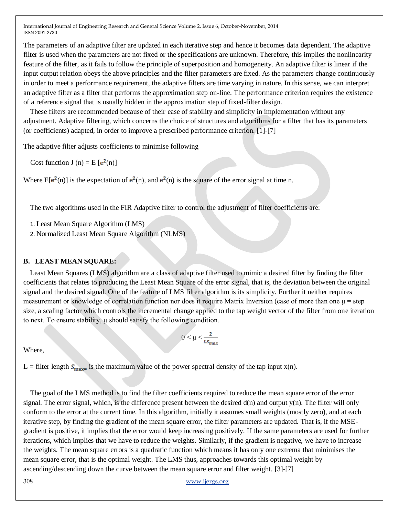The parameters of an adaptive filter are updated in each iterative step and hence it becomes data dependent. The adaptive filter is used when the parameters are not fixed or the specifications are unknown. Therefore, this implies the nonlinearity feature of the filter, as it fails to follow the principle of superposition and homogeneity. An adaptive filter is linear if the input output relation obeys the above principles and the filter parameters are fixed. As the parameters change continuously in order to meet a performance requirement, the adaptive filters are time varying in nature. In this sense, we can interpret an adaptive filter as a filter that performs the approximation step on-line. The performance criterion requires the existence of a reference signal that is usually hidden in the approximation step of fixed-filter design.

These filters are recommended because of their ease of stability and simplicity in implementation without any adjustment. Adaptive filtering, which concerns the choice of structures and algorithms for a filter that has its parameters (or coefficients) adapted, in order to improve a prescribed performance criterion. [1]-[7]

The adaptive filter adjusts coefficients to minimise following

Cost function J (n) =  $E [e^2(n)]$ 

Where  $E[e^{2}(n)]$  is the expectation of  $e^{2}(n)$ , and  $e^{2}(n)$  is the square of the error signal at time n.

The two algorithms used in the FIR Adaptive filter to control the adjustment of filter coefficients are:

1. Least Mean Square Algorithm (LMS)

2. Normalized Least Mean Square Algorithm (NLMS)

### **B. LEAST MEAN SQUARE:**

Least Mean Squares (LMS) algorithm are a class of adaptive filter used to mimic a desired filter by finding the filter coefficients that relates to producing the Least Mean Square of the error signal, that is, the deviation between the original signal and the desired signal. One of the feature of LMS filter algorithm is its simplicity. Further it neither requires measurement or knowledge of correlation function nor does it require Matrix Inversion (case of more than one  $\mu$  = step size, a scaling factor which controls the incremental change applied to the tap weight vector of the filter from one iteration to next. To ensure stability, μ should satisfy the following condition.

$$
0\leq \mu \leq \frac{2}{\textit{L} \textit{S}_{\textit{max}}}
$$

Where,

L = filter length  $S_{\text{max}}$  is the maximum value of the power spectral density of the tap input x(n).

The goal of the LMS method is to find the filter coefficients required to reduce the mean square error of the error signal. The error signal, which, is the difference present between the desired  $d(n)$  and output  $y(n)$ . The filter will only conform to the error at the current time. In this algorithm, initially it assumes small weights (mostly zero), and at each iterative step, by finding the gradient of the mean square error, the filter parameters are updated. That is, if the MSEgradient is positive, it implies that the error would keep increasing positively. If the same parameters are used for further iterations, which implies that we have to reduce the weights. Similarly, if the gradient is negative, we have to increase the weights. The mean square errors is a quadratic function which means it has only one extrema that minimises the mean square error, that is the optimal weight. The LMS thus, approaches towards this optimal weight by ascending/descending down the curve between the mean square error and filter weight. [3]-[7]

308 [www.ijergs.org](http://www.ijergs.org/)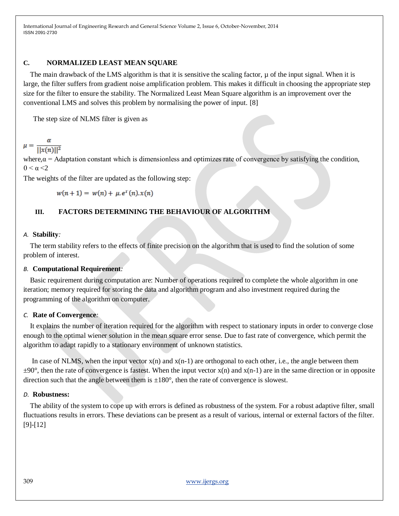### **C. NORMALIZED LEAST MEAN SQUARE**

The main drawback of the LMS algorithm is that it is sensitive the scaling factor,  $\mu$  of the input signal. When it is large, the filter suffers from gradient noise amplification problem. This makes it difficult in choosing the appropriate step size for the filter to ensure the stability. The Normalized Least Mean Square algorithm is an improvement over the conventional LMS and solves this problem by normalising the power of input. [8]

The step size of NLMS filter is given as

 $\mu = \frac{\alpha}{\vert\vert x(n)\vert\vert^2}$ 

where, $\alpha$  = Adaptation constant which is dimensionless and optimizes rate of convergence by satisfying the condition,  $0 \leq \alpha \leq 2$ 

The weights of the filter are updated as the following step:

 $w(n+1) = w(n) + \mu e^{T}(n) \cdot x(n)$ 

# **III. FACTORS DETERMINING THE BEHAVIOUR OF ALGORITHM**

#### *A.* **Stability***:*

The term stability refers to the effects of finite precision on the algorithm that is used to find the solution of some problem of interest.

### *B.* **Computational Requirement***:*

Basic requirement during computation are: Number of operations required to complete the whole algorithm in one iteration; memory required for storing the data and algorithm program and also investment required during the programming of the algorithm on computer.

#### *C.* **Rate of Convergence***:*

It explains the number of iteration required for the algorithm with respect to stationary inputs in order to converge close enough to the optimal wiener solution in the mean square error sense. Due to fast rate of convergence, which permit the algorithm to adapt rapidly to a stationary environment of unknown statistics.

In case of NLMS, when the input vector  $x(n)$  and  $x(n-1)$  are orthogonal to each other, i.e., the angle between them  $\pm 90^\circ$ , then the rate of convergence is fastest. When the input vector x(n) and x(n-1) are in the same direction or in opposite direction such that the angle between them is  $\pm 180^\circ$ , then the rate of convergence is slowest.

#### *D.* **Robustness:**

The ability of the system to cope up with errors is defined as robustness of the system. For a robust adaptive filter, small fluctuations results in errors. These deviations can be present as a result of various, internal or external factors of the filter. [9]-[12]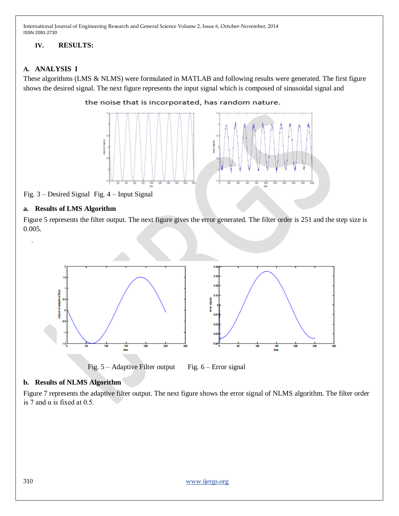# **IV. RESULTS:**

# **A. ANALYSIS I**

These algorithms (LMS & NLMS) were formulated in MATLAB and following results were generated. The first figure shows the desired signal. The next figure represents the input signal which is composed of sinusoidal signal and





Fig. 3 – Desired Signal Fig. 4 – Input Signal

### **a. Results of LMS Algorithm**

 $\overline{2}$ 

Figure 5 represents the filter output. The next figure gives the error generated. The filter order is 251 and the step size is 0.005.



Fig.  $5 -$ Adaptive Filter output Fig.  $6 -$  Error signal

# **b. Results of NLMS Algorithm**

Figure 7 represents the adaptive filter output. The next figure shows the error signal of NLMS algorithm. The filter order is 7 and  $\alpha$  is fixed at 0.5.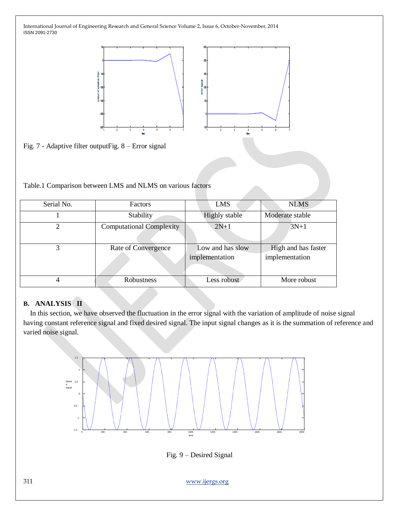

Fig. 7 - Adaptive filter outputFig. 8 – Error signal

### Table.1 Comparison between LMS and NLMS on various factors

| Serial No. | <b>Factors</b>                  | LMS                                | <b>NLMS</b>                           |
|------------|---------------------------------|------------------------------------|---------------------------------------|
|            | Stability                       | <b>Highly</b> stable               | Moderate stable                       |
|            | <b>Computational Complexity</b> | $2N+1$                             | $3N+1$                                |
|            | Rate of Convergence             | Low and has slow<br>implementation | High and has faster<br>implementation |
|            | Robustness                      | Less robust                        | More robust                           |

### **B. ANALYSIS II**

In this section, we have observed the fluctuation in the error signal with the variation of amplitude of noise signal having constant reference signal and fixed desired signal. The input signal changes as it is the summation of reference and varied noise signal.



Fig. 9 – Desired Signal

311 [www.ijergs.org](http://www.ijergs.org/)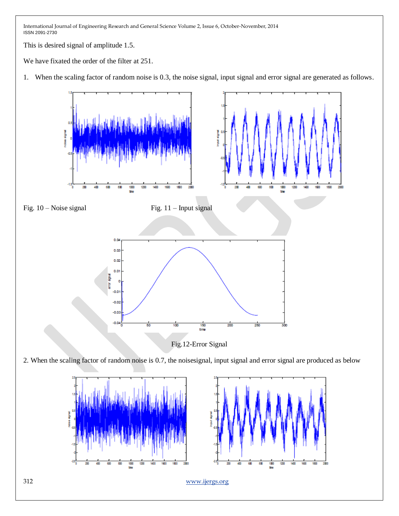This is desired signal of amplitude 1.5.

We have fixated the order of the filter at 251.

1. When the scaling factor of random noise is 0.3, the noise signal, input signal and error signal are generated as follows.

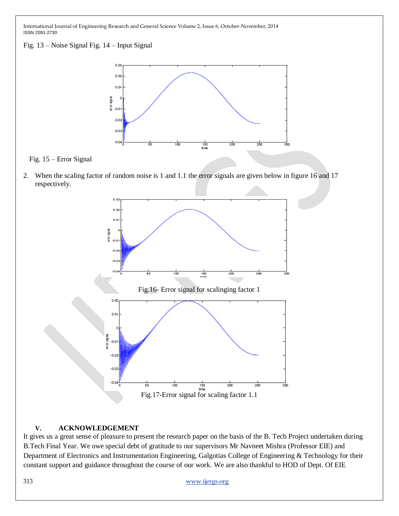Fig. 13 – Noise Signal Fig. 14 – Input Signal



Fig. 15 – Error Signal

2. When the scaling factor of random noise is 1 and 1.1 the error signals are given below in figure 16 and 17 respectively.



### **V. ACKNOWLEDGEMENT**

It gives us a great sense of pleasure to present the research paper on the basis of the B. Tech Project undertaken during B.Tech Final Year. We owe special debt of gratitude to our supervisors Mr Navneet Mishra (Professor EIE) and Department of Electronics and Instrumentation Engineering, Galgotias College of Engineering & Technology for their constant support and guidance throughout the course of our work. We are also thankful to HOD of Dept. Of EIE